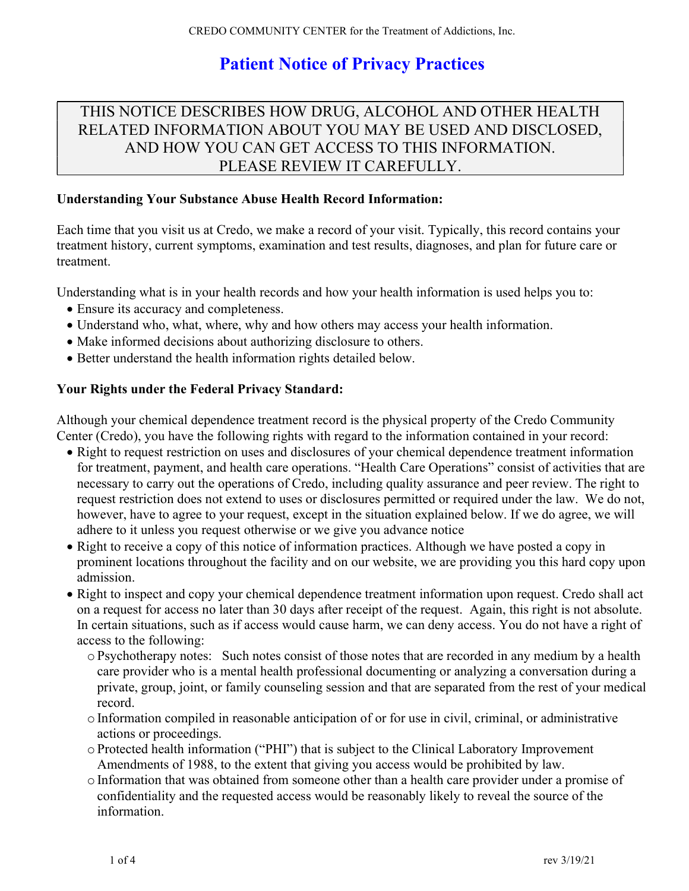# Patient Notice of Privacy Practices

# THIS NOTICE DESCRIBES HOW DRUG, ALCOHOL AND OTHER HEALTH RELATED INFORMATION ABOUT YOU MAY BE USED AND DISCLOSED, AND HOW YOU CAN GET ACCESS TO THIS INFORMATION. PLEASE REVIEW IT CAREFULLY.

### Understanding Your Substance Abuse Health Record Information:

Each time that you visit us at Credo, we make a record of your visit. Typically, this record contains your treatment history, current symptoms, examination and test results, diagnoses, and plan for future care or treatment.

Understanding what is in your health records and how your health information is used helps you to:

- Ensure its accuracy and completeness.
- Understand who, what, where, why and how others may access your health information.
- Make informed decisions about authorizing disclosure to others.
- Better understand the health information rights detailed below.

### Your Rights under the Federal Privacy Standard:

Although your chemical dependence treatment record is the physical property of the Credo Community Center (Credo), you have the following rights with regard to the information contained in your record:

- Right to request restriction on uses and disclosures of your chemical dependence treatment information for treatment, payment, and health care operations. "Health Care Operations" consist of activities that are necessary to carry out the operations of Credo, including quality assurance and peer review. The right to request restriction does not extend to uses or disclosures permitted or required under the law. We do not, however, have to agree to your request, except in the situation explained below. If we do agree, we will adhere to it unless you request otherwise or we give you advance notice
- Right to receive a copy of this notice of information practices. Although we have posted a copy in prominent locations throughout the facility and on our website, we are providing you this hard copy upon admission.
- Right to inspect and copy your chemical dependence treatment information upon request. Credo shall act on a request for access no later than 30 days after receipt of the request. Again, this right is not absolute. In certain situations, such as if access would cause harm, we can deny access. You do not have a right of access to the following:
	- o Psychotherapy notes: Such notes consist of those notes that are recorded in any medium by a health care provider who is a mental health professional documenting or analyzing a conversation during a private, group, joint, or family counseling session and that are separated from the rest of your medical record.
	- o Information compiled in reasonable anticipation of or for use in civil, criminal, or administrative actions or proceedings.
	- o Protected health information ("PHI") that is subject to the Clinical Laboratory Improvement Amendments of 1988, to the extent that giving you access would be prohibited by law.
	- o Information that was obtained from someone other than a health care provider under a promise of confidentiality and the requested access would be reasonably likely to reveal the source of the information.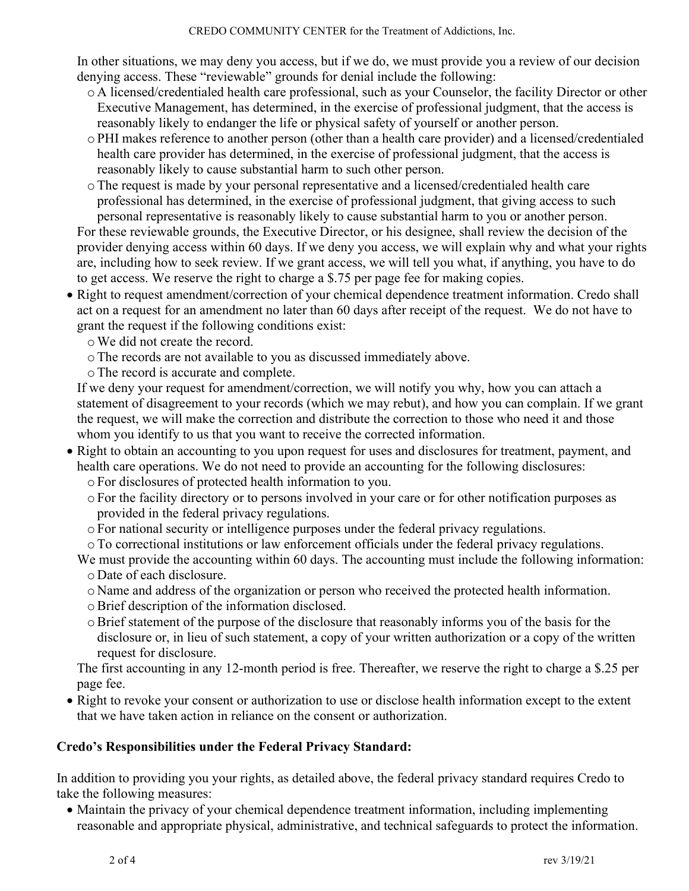#### CREDO COMMUNITY CENTER for the Treatment of Addictions, Inc.

In other situations, we may deny you access, but if we do, we must provide you a review of our decision denying access. These "reviewable" grounds for denial include the following:

- o A licensed/credentialed health care professional, such as your Counselor, the facility Director or other Executive Management, has determined, in the exercise of professional judgment, that the access is reasonably likely to endanger the life or physical safety of yourself or another person.
- o PHI makes reference to another person (other than a health care provider) and a licensed/credentialed health care provider has determined, in the exercise of professional judgment, that the access is reasonably likely to cause substantial harm to such other person.
- oThe request is made by your personal representative and a licensed/credentialed health care professional has determined, in the exercise of professional judgment, that giving access to such personal representative is reasonably likely to cause substantial harm to you or another person.

For these reviewable grounds, the Executive Director, or his designee, shall review the decision of the provider denying access within 60 days. If we deny you access, we will explain why and what your rights are, including how to seek review. If we grant access, we will tell you what, if anything, you have to do to get access. We reserve the right to charge a \$.75 per page fee for making copies.

- Right to request amendment/correction of your chemical dependence treatment information. Credo shall act on a request for an amendment no later than 60 days after receipt of the request. We do not have to grant the request if the following conditions exist:
	- oWe did not create the record.
	- oThe records are not available to you as discussed immediately above.
	- oThe record is accurate and complete.

If we deny your request for amendment/correction, we will notify you why, how you can attach a statement of disagreement to your records (which we may rebut), and how you can complain. If we grant the request, we will make the correction and distribute the correction to those who need it and those whom you identify to us that you want to receive the corrected information.

- Right to obtain an accounting to you upon request for uses and disclosures for treatment, payment, and health care operations. We do not need to provide an accounting for the following disclosures:
	- o For disclosures of protected health information to you.
	- o For the facility directory or to persons involved in your care or for other notification purposes as provided in the federal privacy regulations.
	- o For national security or intelligence purposes under the federal privacy regulations.
	- oTo correctional institutions or law enforcement officials under the federal privacy regulations.

We must provide the accounting within 60 days. The accounting must include the following information: o Date of each disclosure.

- o Name and address of the organization or person who received the protected health information.
- oBrief description of the information disclosed.
- oBrief statement of the purpose of the disclosure that reasonably informs you of the basis for the disclosure or, in lieu of such statement, a copy of your written authorization or a copy of the written request for disclosure.

The first accounting in any 12-month period is free. Thereafter, we reserve the right to charge a \$.25 per page fee.

• Right to revoke your consent or authorization to use or disclose health information except to the extent that we have taken action in reliance on the consent or authorization.

## Credo's Responsibilities under the Federal Privacy Standard:

In addition to providing you your rights, as detailed above, the federal privacy standard requires Credo to take the following measures:

 Maintain the privacy of your chemical dependence treatment information, including implementing reasonable and appropriate physical, administrative, and technical safeguards to protect the information.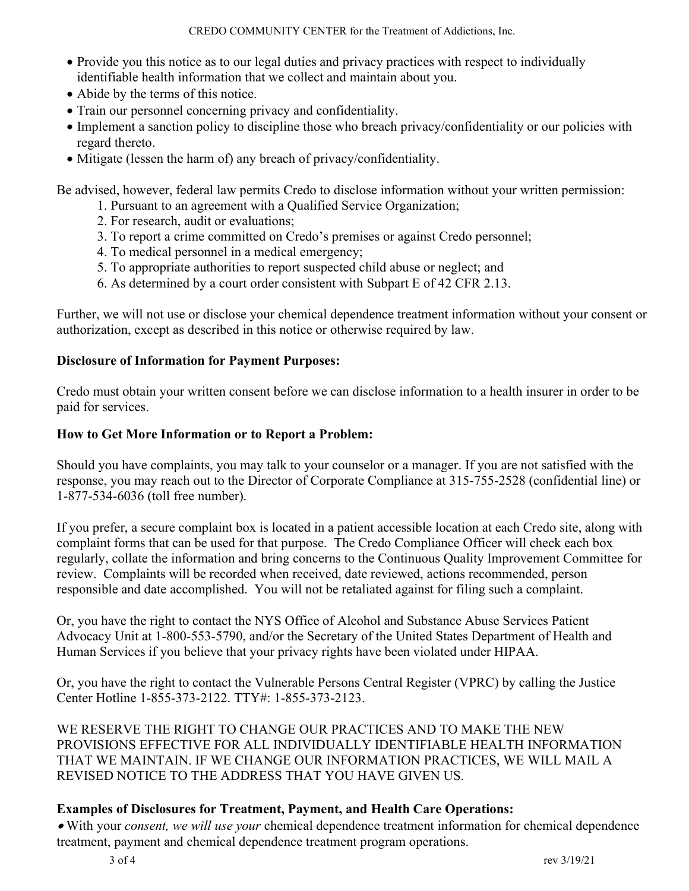- Provide you this notice as to our legal duties and privacy practices with respect to individually identifiable health information that we collect and maintain about you.
- Abide by the terms of this notice.
- Train our personnel concerning privacy and confidentiality.
- Implement a sanction policy to discipline those who breach privacy/confidentiality or our policies with regard thereto.
- Mitigate (lessen the harm of) any breach of privacy/confidentiality.

Be advised, however, federal law permits Credo to disclose information without your written permission:

- 1. Pursuant to an agreement with a Qualified Service Organization;
- 2. For research, audit or evaluations;
- 3. To report a crime committed on Credo's premises or against Credo personnel;
- 4. To medical personnel in a medical emergency;
- 5. To appropriate authorities to report suspected child abuse or neglect; and
- 6. As determined by a court order consistent with Subpart E of 42 CFR 2.13.

Further, we will not use or disclose your chemical dependence treatment information without your consent or authorization, except as described in this notice or otherwise required by law.

## Disclosure of Information for Payment Purposes:

Credo must obtain your written consent before we can disclose information to a health insurer in order to be paid for services.

## How to Get More Information or to Report a Problem:

Should you have complaints, you may talk to your counselor or a manager. If you are not satisfied with the response, you may reach out to the Director of Corporate Compliance at 315-755-2528 (confidential line) or 1-877-534-6036 (toll free number).

If you prefer, a secure complaint box is located in a patient accessible location at each Credo site, along with complaint forms that can be used for that purpose. The Credo Compliance Officer will check each box regularly, collate the information and bring concerns to the Continuous Quality Improvement Committee for review. Complaints will be recorded when received, date reviewed, actions recommended, person responsible and date accomplished. You will not be retaliated against for filing such a complaint.

Or, you have the right to contact the NYS Office of Alcohol and Substance Abuse Services Patient Advocacy Unit at 1-800-553-5790, and/or the Secretary of the United States Department of Health and Human Services if you believe that your privacy rights have been violated under HIPAA.

Or, you have the right to contact the Vulnerable Persons Central Register (VPRC) by calling the Justice Center Hotline 1-855-373-2122. TTY#: 1-855-373-2123.

WE RESERVE THE RIGHT TO CHANGE OUR PRACTICES AND TO MAKE THE NEW PROVISIONS EFFECTIVE FOR ALL INDIVIDUALLY IDENTIFIABLE HEALTH INFORMATION THAT WE MAINTAIN. IF WE CHANGE OUR INFORMATION PRACTICES, WE WILL MAIL A REVISED NOTICE TO THE ADDRESS THAT YOU HAVE GIVEN US.

## Examples of Disclosures for Treatment, Payment, and Health Care Operations:

. With your consent, we will use your chemical dependence treatment information for chemical dependence treatment, payment and chemical dependence treatment program operations.